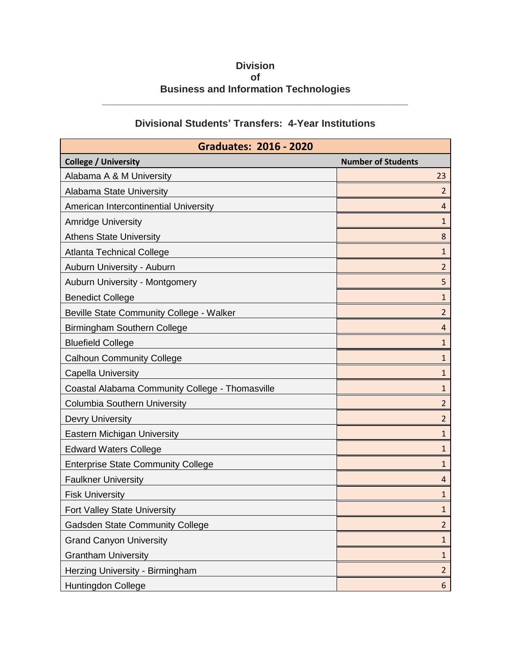## **Division of Business and Information Technologies**

**\_\_\_\_\_\_\_\_\_\_\_\_\_\_\_\_\_\_\_\_\_\_\_\_\_\_\_\_\_\_\_\_\_\_\_\_\_\_\_\_\_\_\_\_\_\_\_\_\_\_\_\_\_\_\_**

## **Divisional Students' Transfers: 4-Year Institutions**

| <b>Graduates: 2016 - 2020</b>                   |                           |
|-------------------------------------------------|---------------------------|
| <b>College / University</b>                     | <b>Number of Students</b> |
| Alabama A & M University                        | 23                        |
| Alabama State University                        | $\overline{2}$            |
| American Intercontinential University           | 4                         |
| <b>Amridge University</b>                       | 1                         |
| <b>Athens State University</b>                  | 8                         |
| <b>Atlanta Technical College</b>                | 1                         |
| Auburn University - Auburn                      | $\overline{2}$            |
| Auburn University - Montgomery                  | 5                         |
| <b>Benedict College</b>                         | 1                         |
| Beville State Community College - Walker        | $\overline{2}$            |
| Birmingham Southern College                     | 4                         |
| <b>Bluefield College</b>                        | 1                         |
| <b>Calhoun Community College</b>                | $\mathbf{1}$              |
| <b>Capella University</b>                       | $\mathbf{1}$              |
| Coastal Alabama Community College - Thomasville | $\mathbf{1}$              |
| <b>Columbia Southern University</b>             | 2                         |
| <b>Devry University</b>                         | 2                         |
| <b>Eastern Michigan University</b>              | $\mathbf{1}$              |
| <b>Edward Waters College</b>                    | 1                         |
| <b>Enterprise State Community College</b>       | $\mathbf{1}$              |
| <b>Faulkner University</b>                      | 4                         |
| <b>Fisk University</b>                          | $\mathbf{1}$              |
| Fort Valley State University                    | $\mathbf{1}$              |
| <b>Gadsden State Community College</b>          | $\overline{2}$            |
| <b>Grand Canyon University</b>                  | $\mathbf{1}$              |
| <b>Grantham University</b>                      | $\mathbf{1}$              |
| Herzing University - Birmingham                 | $\overline{2}$            |
| Huntingdon College                              | $6\phantom{.}$            |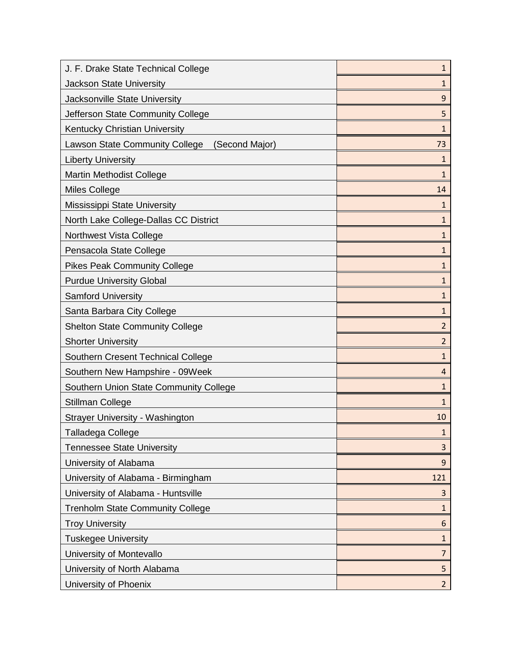| J. F. Drake State Technical College                     | 1              |
|---------------------------------------------------------|----------------|
| <b>Jackson State University</b>                         | 1              |
| Jacksonville State University                           | 9              |
| Jefferson State Community College                       | 5              |
| Kentucky Christian University                           | 1              |
| <b>Lawson State Community College</b><br>(Second Major) | 73             |
| <b>Liberty University</b>                               | 1              |
| Martin Methodist College                                | $\mathbf{1}$   |
| <b>Miles College</b>                                    | 14             |
| Mississippi State University                            | 1              |
| North Lake College-Dallas CC District                   | $\mathbf{1}$   |
| Northwest Vista College                                 | 1              |
| Pensacola State College                                 | $\mathbf{1}$   |
| <b>Pikes Peak Community College</b>                     | 1              |
| <b>Purdue University Global</b>                         | $\mathbf{1}$   |
| <b>Samford University</b>                               | $\mathbf{1}$   |
| Santa Barbara City College                              | 1              |
| <b>Shelton State Community College</b>                  | 2              |
| <b>Shorter University</b>                               | $\overline{2}$ |
| Southern Cresent Technical College                      | $\mathbf{1}$   |
| Southern New Hampshire - 09Week                         | 4              |
| Southern Union State Community College                  | $\mathbf{1}$   |
| <b>Stillman College</b>                                 | 1              |
| Strayer University - Washington                         | 10             |
| Talladega College                                       | 1              |
| <b>Tennessee State University</b>                       | 3              |
| University of Alabama                                   | 9              |
| University of Alabama - Birmingham                      | 121            |
| University of Alabama - Huntsville                      | 3              |
| <b>Trenholm State Community College</b>                 | $\mathbf{1}$   |
| <b>Troy University</b>                                  | 6              |
| <b>Tuskegee University</b>                              | 1              |
| University of Montevallo                                | $\overline{7}$ |
| University of North Alabama                             | 5              |
| University of Phoenix                                   | $\overline{a}$ |